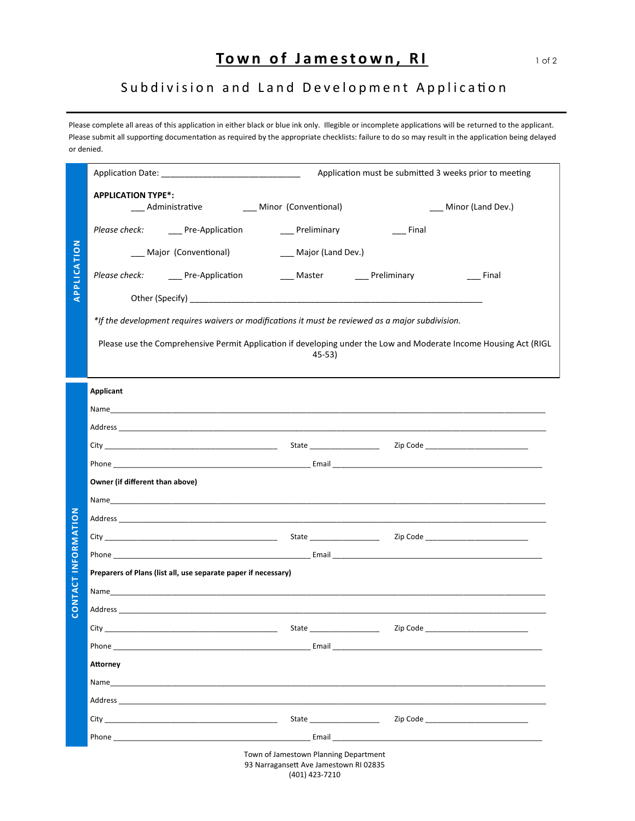## **Town of Jamestown, RI** 10f2

## Subdivision and Land Development Application

Please complete all areas of this application in either black or blue ink only. Illegible or incomplete applications will be returned to the applicant. Please submit all supporting documentation as required by the appropriate checklists: failure to do so may result in the application being delayed or denied.

| APPLICATION         | Application must be submitted 3 weeks prior to meeting                                                                                                                                                                                                                                                                                                                                                                           |  |
|---------------------|----------------------------------------------------------------------------------------------------------------------------------------------------------------------------------------------------------------------------------------------------------------------------------------------------------------------------------------------------------------------------------------------------------------------------------|--|
|                     | <b>APPLICATION TYPE*:</b><br>___ Administrative ____ Minor (Conventional)<br>___ Minor (Land Dev.)                                                                                                                                                                                                                                                                                                                               |  |
|                     | Please check: ______ Pre-Application<br>___ Preliminary<br>$\equiv$ Final                                                                                                                                                                                                                                                                                                                                                        |  |
|                     | __ Major (Land Dev.)<br>___ Major (Conventional)                                                                                                                                                                                                                                                                                                                                                                                 |  |
|                     | <b>Example 1</b> Final                                                                                                                                                                                                                                                                                                                                                                                                           |  |
|                     |                                                                                                                                                                                                                                                                                                                                                                                                                                  |  |
|                     | *If the development requires waivers or modifications it must be reviewed as a major subdivision.                                                                                                                                                                                                                                                                                                                                |  |
|                     | Please use the Comprehensive Permit Application if developing under the Low and Moderate Income Housing Act (RIGL<br>45-53)                                                                                                                                                                                                                                                                                                      |  |
|                     | Applicant                                                                                                                                                                                                                                                                                                                                                                                                                        |  |
|                     |                                                                                                                                                                                                                                                                                                                                                                                                                                  |  |
|                     |                                                                                                                                                                                                                                                                                                                                                                                                                                  |  |
|                     |                                                                                                                                                                                                                                                                                                                                                                                                                                  |  |
|                     |                                                                                                                                                                                                                                                                                                                                                                                                                                  |  |
|                     | Owner (if different than above)                                                                                                                                                                                                                                                                                                                                                                                                  |  |
|                     |                                                                                                                                                                                                                                                                                                                                                                                                                                  |  |
|                     |                                                                                                                                                                                                                                                                                                                                                                                                                                  |  |
|                     |                                                                                                                                                                                                                                                                                                                                                                                                                                  |  |
| CONTACT INFORMATION | Preparers of Plans (list all, use separate paper if necessary)                                                                                                                                                                                                                                                                                                                                                                   |  |
|                     |                                                                                                                                                                                                                                                                                                                                                                                                                                  |  |
|                     |                                                                                                                                                                                                                                                                                                                                                                                                                                  |  |
|                     | City<br>State<br>Zip Code                                                                                                                                                                                                                                                                                                                                                                                                        |  |
|                     | Phone <b>Email Email Email Email Email Email Email Email Email Email Email Email Email Email Email Email Email Email Email Email Email Email Email Email Email Email Email</b>                                                                                                                                                                                                                                                   |  |
|                     | <b>Attorney</b>                                                                                                                                                                                                                                                                                                                                                                                                                  |  |
|                     |                                                                                                                                                                                                                                                                                                                                                                                                                                  |  |
|                     | Address and the contract of the contract of the contract of the contract of the contract of the contract of the contract of the contract of the contract of the contract of the contract of the contract of the contract of th                                                                                                                                                                                                   |  |
|                     | Zip Code and the contract of the contract of the contract of the contract of the contract of the contract of the contract of the contract of the contract of the contract of the contract of the contract of the contract of t<br>City<br>Phone <b>Example 20</b> Phone <b>Example 20</b> Phone <b>20 Phone</b><br>Email and the contract of the contract of the contract of the contract of the contract of the contract of the |  |
|                     | Tours of Inmostorum Dianning Department                                                                                                                                                                                                                                                                                                                                                                                          |  |

| Town of Jamestown Planning Department  |
|----------------------------------------|
| 93 Narragansett Ave Jamestown RI 02835 |
| (401) 423-7210                         |